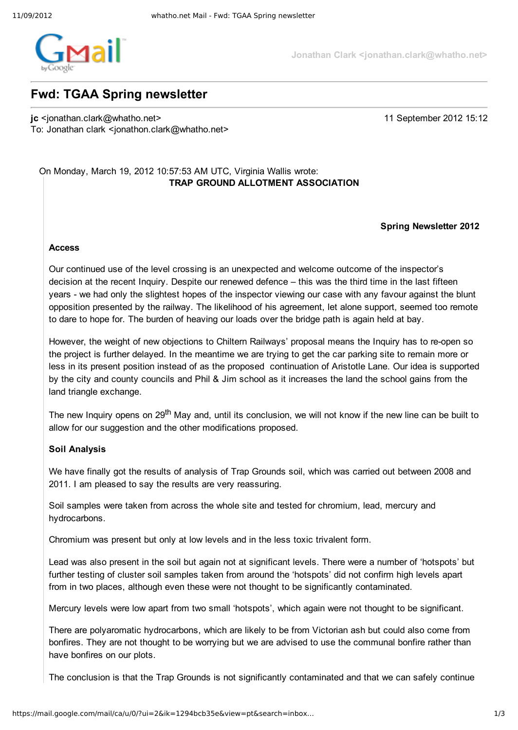

**Jonathan Clark <jonathan.clark@whatho.net>**

# **Fwd: TGAA Spring newsletter**

**jc** <jonathan.clark@whatho.net> 11 September 2012 15:12 To: Jonathan clark <jonathon.clark@whatho.net>

# On Monday, March 19, 2012 10:57:53 AM UTC, Virginia Wallis wrote: **TRAP GROUND ALLOTMENT ASSOCIATION**

### **Spring Newsletter 2012**

### **Access**

Our continued use of the level crossing is an unexpected and welcome outcome of the inspector's decision at the recent Inquiry. Despite our renewed defence – this was the third time in the last fifteen years - we had only the slightest hopes of the inspector viewing our case with any favour against the blunt opposition presented by the railway. The likelihood of his agreement, let alone support, seemed too remote to dare to hope for. The burden of heaving our loads over the bridge path is again held at bay.

However, the weight of new objections to Chiltern Railways' proposal means the Inquiry has to re-open so the project is further delayed. In the meantime we are trying to get the car parking site to remain more or less in its present position instead of as the proposed continuation of Aristotle Lane. Our idea is supported by the city and county councils and Phil & Jim school as it increases the land the school gains from the land triangle exchange.

The new Inquiry opens on 29<sup>th</sup> May and, until its conclusion, we will not know if the new line can be built to allow for our suggestion and the other modifications proposed.

# **Soil Analysis**

We have finally got the results of analysis of Trap Grounds soil, which was carried out between 2008 and 2011. I am pleased to say the results are very reassuring.

Soil samples were taken from across the whole site and tested for chromium, lead, mercury and hydrocarbons.

Chromium was present but only at low levels and in the less toxic trivalent form.

Lead was also present in the soil but again not at significant levels. There were a number of 'hotspots' but further testing of cluster soil samples taken from around the 'hotspots' did not confirm high levels apart from in two places, although even these were not thought to be significantly contaminated.

Mercury levels were low apart from two small 'hotspots', which again were not thought to be significant.

There are polyaromatic hydrocarbons, which are likely to be from Victorian ash but could also come from bonfires. They are not thought to be worrying but we are advised to use the communal bonfire rather than have bonfires on our plots.

The conclusion is that the Trap Grounds is not significantly contaminated and that we can safely continue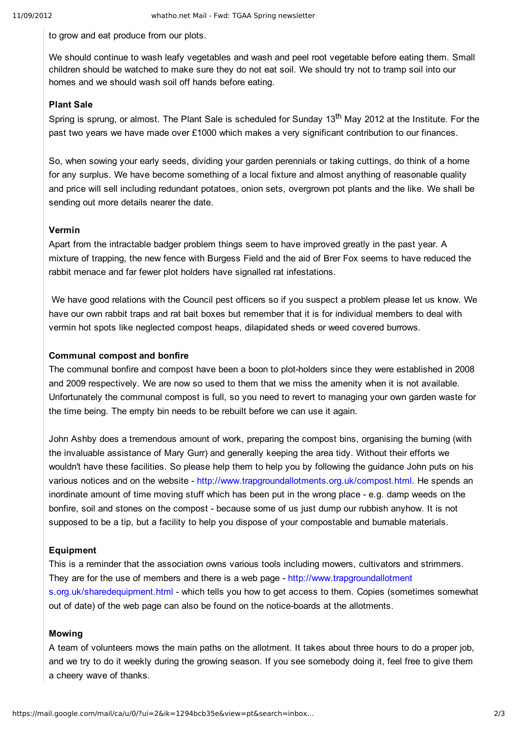to grow and eat produce from our plots.

We should continue to wash leafy vegetables and wash and peel root vegetable before eating them. Small children should be watched to make sure they do not eat soil. We should try not to tramp soil into our homes and we should wash soil off hands before eating.

# **Plant Sale**

Spring is sprung, or almost. The Plant Sale is scheduled for Sunday 13<sup>th</sup> May 2012 at the Institute. For the past two years we have made over £1000 which makes a very significant contribution to our finances.

So, when sowing your early seeds, dividing your garden perennials or taking cuttings, do think of a home for any surplus. We have become something of a local fixture and almost anything of reasonable quality and price will sell including redundant potatoes, onion sets, overgrown pot plants and the like. We shall be sending out more details nearer the date.

### **Vermin**

Apart from the intractable badger problem things seem to have improved greatly in the past year. A mixture of trapping, the new fence with Burgess Field and the aid of Brer Fox seems to have reduced the rabbit menace and far fewer plot holders have signalled rat infestations.

We have good relations with the Council pest officers so if you suspect a problem please let us know. We have our own rabbit traps and rat bait boxes but remember that it is for individual members to deal with vermin hot spots like neglected compost heaps, dilapidated sheds or weed covered burrows.

# **Communal compost and bonfire**

The communal bonfire and compost have been a boon to plot-holders since they were established in 2008 and 2009 respectively. We are now so used to them that we miss the amenity when it is not available. Unfortunately the communal compost is full, so you need to revert to managing your own garden waste for the time being. The empty bin needs to be rebuilt before we can use it again.

John Ashby does a tremendous amount of work, preparing the compost bins, organising the burning (with the invaluable assistance of Mary Gurr) and generally keeping the area tidy. Without their efforts we wouldn't have these facilities. So please help them to help you by following the guidance John puts on his various notices and on the website http://www.trapgroundallotments.org.uk/compost.html. He spends an inordinate amount of time moving stuff which has been put in the wrong place e.g. damp weeds on the bonfire, soil and stones on the compost - because some of us just dump our rubbish anyhow. It is not supposed to be a tip, but a facility to help you dispose of your compostable and burnable materials.

# **Equipment**

This is a reminder that the association owns various tools including mowers, cultivators and strimmers. They are for the use of members and there is a web page - http://www.trapgroundallotment s.org.uk/sharedequipment.html - which tells you how to get access to them. Copies (sometimes somewhat out of date) of the web page can also be found on the notice-boards at the allotments.

#### **Mowing**

A team of volunteers mows the main paths on the allotment. It takes about three hours to do a proper job, and we try to do it weekly during the growing season. If you see somebody doing it, feel free to give them a cheery wave of thanks.